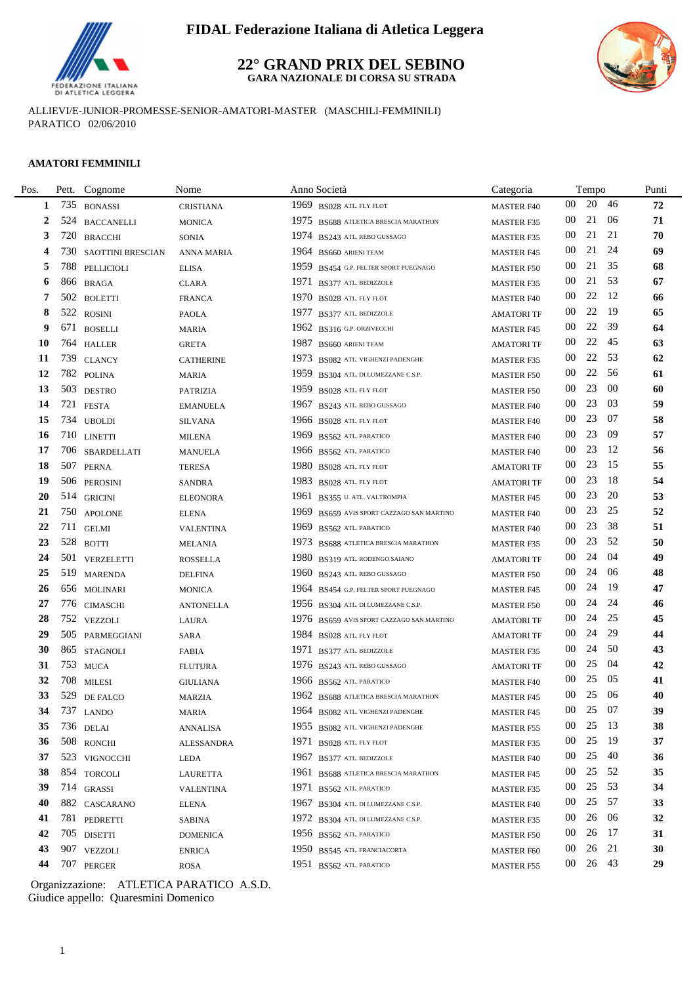

## **FIDAL Federazione Italiana di Atletica Leggera**

#### **22° GRAND PRIX DEL SEBINO GARA NAZIONALE DI CORSA SU STRADA**



ALLIEVI/E-JUNIOR-PROMESSE-SENIOR-AMATORI-MASTER (MASCHILI-FEMMINILI) PARATICO 02/06/2010

#### **AMATORI FEMMINILI**

÷.

| Pett.   | Cognome                  | Nome                                                                                                                                                                                                                                                                                                                                                                                                                                                                                                                                                                | Anno Società                                 | Categoria                         |                 | Tempo |        | Punti                                                |
|---------|--------------------------|---------------------------------------------------------------------------------------------------------------------------------------------------------------------------------------------------------------------------------------------------------------------------------------------------------------------------------------------------------------------------------------------------------------------------------------------------------------------------------------------------------------------------------------------------------------------|----------------------------------------------|-----------------------------------|-----------------|-------|--------|------------------------------------------------------|
|         |                          | <b>CRISTIANA</b>                                                                                                                                                                                                                                                                                                                                                                                                                                                                                                                                                    | 1969 BS028 ATL. FLY FLOT                     | <b>MASTER F40</b>                 | 00              | 20    | 46     | 72                                                   |
|         |                          | <b>MONICA</b>                                                                                                                                                                                                                                                                                                                                                                                                                                                                                                                                                       | 1975 BS688 ATLETICA BRESCIA MARATHON         | <b>MASTER F35</b>                 | 00              | 21    | 06     | 71                                                   |
| 720     | <b>BRACCHI</b>           | <b>SONIA</b>                                                                                                                                                                                                                                                                                                                                                                                                                                                                                                                                                        | 1974 BS243 ATL. REBO GUSSAGO                 | <b>MASTER F35</b>                 | 00              | 21    | 21     | 70                                                   |
|         | <b>SAOTTINI BRESCIAN</b> | <b>ANNA MARIA</b>                                                                                                                                                                                                                                                                                                                                                                                                                                                                                                                                                   | $1964$ BS660 ARIENI TEAM                     | <b>MASTER F45</b>                 | 00              | 21    | 24     | 69                                                   |
| 788     | PELLICIOLI               | <b>ELISA</b>                                                                                                                                                                                                                                                                                                                                                                                                                                                                                                                                                        | 1959 BS454 G.P. FELTER SPORT PUEGNAGO        | <b>MASTER F50</b>                 | 00              | 21    | 35     | 68                                                   |
| 866     | <b>BRAGA</b>             | <b>CLARA</b>                                                                                                                                                                                                                                                                                                                                                                                                                                                                                                                                                        | 1971<br>BS377 ATL. BEDIZZOLE                 | <b>MASTER F35</b>                 | 00              | 21    | 53     | 67                                                   |
|         |                          | <b>FRANCA</b>                                                                                                                                                                                                                                                                                                                                                                                                                                                                                                                                                       | 1970 BS028 ATL. FLY FLOT                     | <b>MASTER F40</b>                 | 00              | 22    | -12    | 66                                                   |
| 522     | <b>ROSINI</b>            | <b>PAOLA</b>                                                                                                                                                                                                                                                                                                                                                                                                                                                                                                                                                        | 1977<br>BS377 ATL. BEDIZZOLE                 | <b>AMATORI TF</b>                 | 00              | 22    | -19    | 65                                                   |
|         |                          | <b>MARIA</b>                                                                                                                                                                                                                                                                                                                                                                                                                                                                                                                                                        | 1962 BS316 G.P. ORZIVECCHI                   | <b>MASTER F45</b>                 | 00              | 22    | 39     | 64                                                   |
|         |                          | <b>GRETA</b>                                                                                                                                                                                                                                                                                                                                                                                                                                                                                                                                                        | 1987<br>BS660 ARIENI TEAM                    | <b>AMATORI TF</b>                 | 00              | 22    | 45     | 63                                                   |
| 739     | <b>CLANCY</b>            | <b>CATHERINE</b>                                                                                                                                                                                                                                                                                                                                                                                                                                                                                                                                                    | 1973<br>BS082 ATL. VIGHENZI PADENGHE         | <b>MASTER F35</b>                 | $00\,$          | 22    | 53     | 62                                                   |
|         |                          | <b>MARIA</b>                                                                                                                                                                                                                                                                                                                                                                                                                                                                                                                                                        | 1959<br>BS304 ATL. DI LUMEZZANE C.S.P.       | <b>MASTER F50</b>                 | $00\,$          | 22    | -56    | 61                                                   |
|         |                          | <b>PATRIZIA</b>                                                                                                                                                                                                                                                                                                                                                                                                                                                                                                                                                     | 1959<br>BS028 ATL. FLY FLOT                  | <b>MASTER F50</b>                 | 00              | 23    | 00     | 60                                                   |
|         |                          | <b>EMANUELA</b>                                                                                                                                                                                                                                                                                                                                                                                                                                                                                                                                                     | 1967<br>BS243 ATL. REBO GUSSAGO              | <b>MASTER F40</b>                 | 00              | 23    | 03     | 59                                                   |
|         |                          | <b>SILVANA</b>                                                                                                                                                                                                                                                                                                                                                                                                                                                                                                                                                      | 1966 BS028 ATL. FLY FLOT                     | <b>MASTER F40</b>                 | $00\,$          | 23    | 07     | 58                                                   |
|         | <b>LINETTI</b>           | <b>MILENA</b>                                                                                                                                                                                                                                                                                                                                                                                                                                                                                                                                                       | 1969<br>BS562 ATL. PARATICO                  | <b>MASTER F40</b>                 | $00\,$          | 23    | -09    | 57                                                   |
| 706     | SBARDELLATI              | <b>MANUELA</b>                                                                                                                                                                                                                                                                                                                                                                                                                                                                                                                                                      | 1966 BS562 ATL PARATICO                      | <b>MASTER F40</b>                 | 00              | 23    | -12    | 56                                                   |
|         |                          | <b>TERESA</b>                                                                                                                                                                                                                                                                                                                                                                                                                                                                                                                                                       | 1980 BS028 ATL. FLY FLOT                     | <b>AMATORI TF</b>                 | 00              | 23    | 15     | 55                                                   |
|         |                          | <b>SANDRA</b>                                                                                                                                                                                                                                                                                                                                                                                                                                                                                                                                                       | 1983 BS028 ATL. FLY FLOT                     | <b>AMATORI TF</b>                 | 00              | 23    | -18    | 54                                                   |
|         |                          | <b>ELEONORA</b>                                                                                                                                                                                                                                                                                                                                                                                                                                                                                                                                                     | 1961<br>BS355 U. ATL. VALTROMPIA             | <b>MASTER F45</b>                 | 00              | 23    | 20     | 53                                                   |
|         |                          | <b>ELENA</b>                                                                                                                                                                                                                                                                                                                                                                                                                                                                                                                                                        | 1969<br>BS659 AVIS SPORT CAZZAGO SAN MARTINO | <b>MASTER F40</b>                 | $00\,$          | 23    | 25     | 52                                                   |
|         |                          | <b>VALENTINA</b>                                                                                                                                                                                                                                                                                                                                                                                                                                                                                                                                                    | 1969<br>BS562 ATL PARATICO                   | <b>MASTER F40</b>                 | $00\,$          | 23    | 38     | 51                                                   |
|         |                          | <b>MELANIA</b>                                                                                                                                                                                                                                                                                                                                                                                                                                                                                                                                                      | 1973 BS688 ATLETICA BRESCIA MARATHON         | <b>MASTER F35</b>                 | 00              | 23    | 52     | 50                                                   |
|         |                          | <b>ROSSELLA</b>                                                                                                                                                                                                                                                                                                                                                                                                                                                                                                                                                     | 1980<br>BS319 ATL. RODENGO SAIANO            | <b>AMATORI TF</b>                 | 00              | 24    | 04     | 49                                                   |
|         |                          | <b>DELFINA</b>                                                                                                                                                                                                                                                                                                                                                                                                                                                                                                                                                      | 1960 BS243 ATL. REBO GUSSAGO                 | <b>MASTER F50</b>                 | 00              | 24    | 06     | 48                                                   |
|         |                          | <b>MONICA</b>                                                                                                                                                                                                                                                                                                                                                                                                                                                                                                                                                       | 1964 BS454 G.P. FELTER SPORT PUEGNAGO        | <b>MASTER F45</b>                 | 00              | 24    | -19    | 47                                                   |
|         |                          | <b>ANTONELLA</b>                                                                                                                                                                                                                                                                                                                                                                                                                                                                                                                                                    | 1956 BS304 ATL. DI LUMEZZANE C.S.P.          | <b>MASTER F50</b>                 | 00              | 24    | 24     | 46                                                   |
|         |                          | LAURA                                                                                                                                                                                                                                                                                                                                                                                                                                                                                                                                                               | 1976 BS659 AVIS SPORT CAZZAGO SAN MARTINO    | <b>AMATORI TF</b>                 | 00              | 24    | 25     | 45                                                   |
|         |                          | <b>SARA</b>                                                                                                                                                                                                                                                                                                                                                                                                                                                                                                                                                         | 1984 BS028 ATL. FLY FLOT                     | <b>AMATORI TF</b>                 | 00              | 24    | 29     | 44                                                   |
|         |                          | <b>FABIA</b>                                                                                                                                                                                                                                                                                                                                                                                                                                                                                                                                                        | 1971 BS377 ATL. BEDIZZOLE                    | <b>MASTER F35</b>                 | 00              | 24    | 50     | 43                                                   |
|         |                          | <b>FLUTURA</b>                                                                                                                                                                                                                                                                                                                                                                                                                                                                                                                                                      | 1976 BS243 ATL. REBO GUSSAGO                 | <b>AMATORI TF</b>                 | 00              | 25    | 04     | 42                                                   |
|         |                          | <b>GIULIANA</b>                                                                                                                                                                                                                                                                                                                                                                                                                                                                                                                                                     | 1966 BS562 ATL. PARATICO                     | <b>MASTER F40</b>                 | 00              | 25    | 05     | 41                                                   |
|         |                          | <b>MARZIA</b>                                                                                                                                                                                                                                                                                                                                                                                                                                                                                                                                                       | 1962 BS688 ATLETICA BRESCIA MARATHON         | <b>MASTER F45</b>                 | 00              | 25    | 06     | 40                                                   |
|         |                          | MARIA                                                                                                                                                                                                                                                                                                                                                                                                                                                                                                                                                               |                                              | MASTER F45                        |                 |       |        | 39                                                   |
|         |                          | <b>ANNALISA</b>                                                                                                                                                                                                                                                                                                                                                                                                                                                                                                                                                     | 1955 BS082 ATL. VIGHENZI PADENGHE            | <b>MASTER F55</b>                 | 00              | 25    |        | 38                                                   |
|         |                          | ALESSANDRA                                                                                                                                                                                                                                                                                                                                                                                                                                                                                                                                                          | 1971 BS028 ATL FLY FLOT                      | <b>MASTER F35</b>                 | 00              | 25    |        | 37                                                   |
|         |                          | LEDA                                                                                                                                                                                                                                                                                                                                                                                                                                                                                                                                                                | 1967 BS377 ATL BEDIZZOLE                     | <b>MASTER F40</b>                 | $00\,$          | 25    | 40     | 36                                                   |
|         |                          | <b>LAURETTA</b>                                                                                                                                                                                                                                                                                                                                                                                                                                                                                                                                                     | 1961<br>BS688 ATLETICA BRESCIA MARATHON      | <b>MASTER F45</b>                 | 00              |       |        | 35                                                   |
|         |                          | <b>VALENTINA</b>                                                                                                                                                                                                                                                                                                                                                                                                                                                                                                                                                    | 1971<br>BS562 ATL PARATICO                   | <b>MASTER F35</b>                 | 00              | 25    | 53     | 34                                                   |
|         |                          | ELENA                                                                                                                                                                                                                                                                                                                                                                                                                                                                                                                                                               | 1967<br>BS304 ATL. DI LUMEZZANE C.S.P.       | <b>MASTER F40</b>                 | 00              | 25    | -57    | 33                                                   |
|         |                          | SABINA                                                                                                                                                                                                                                                                                                                                                                                                                                                                                                                                                              | 1972 BS304 ATL. DI LUMEZZANE C.S.P.          | <b>MASTER F35</b>                 | 00              | 26    | 06     | 32                                                   |
|         |                          | <b>DOMENICA</b>                                                                                                                                                                                                                                                                                                                                                                                                                                                                                                                                                     | 1956 BS562 ATL. PARATICO                     | <b>MASTER F50</b>                 | 00              | 26    |        | 31                                                   |
|         |                          | <b>ENRICA</b>                                                                                                                                                                                                                                                                                                                                                                                                                                                                                                                                                       | 1950 BS545 ATL. FRANCIACORTA                 | <b>MASTER F60</b>                 | $00\,$          | 26    |        | 30                                                   |
|         |                          | <b>ROSA</b>                                                                                                                                                                                                                                                                                                                                                                                                                                                                                                                                                         | 1951 BS562 ATL. PARATICO                     | <b>MASTER F55</b>                 | 00 <sup>°</sup> |       |        | 29                                                   |
| 1<br>34 |                          | 735 BONASSI<br>524 BACCANELLI<br>730<br>502 BOLETTI<br>671 BOSELLI<br>764 HALLER<br>782 POLINA<br>503 DESTRO<br>721 FESTA<br>734 UBOLDI<br>710<br>507 PERNA<br>506 PEROSINI<br>514 GRICINI<br>750 APOLONE<br>711 GELMI<br>528 BOTTI<br>501 VERZELETTI<br>519 MARENDA<br>656 MOLINARI<br>776 CIMASCHI<br>752 VEZZOLI<br>505 PARMEGGIANI<br>865 STAGNOLI<br>753 MUCA<br>708 MILESI<br>529 DE FALCO<br>737 LANDO<br>736 DELAI<br>508 RONCHI<br>523 VIGNOCCHI<br>854 TORCOLI<br>714 GRASSI<br>882 CASCARANO<br>781 PEDRETTI<br>705 DISETTI<br>907 VEZZOLI<br>707 PERGER |                                              | 1964 BS082 ATL. VIGHENZI PADENGHE |                 |       | $00\,$ | 25 07<br>- 13<br>- 19<br>25 52<br>-17<br>21<br>26 43 |

Giudice appello: Quaresmini Domenico Organizzazione: ATLETICA PARATICO A.S.D.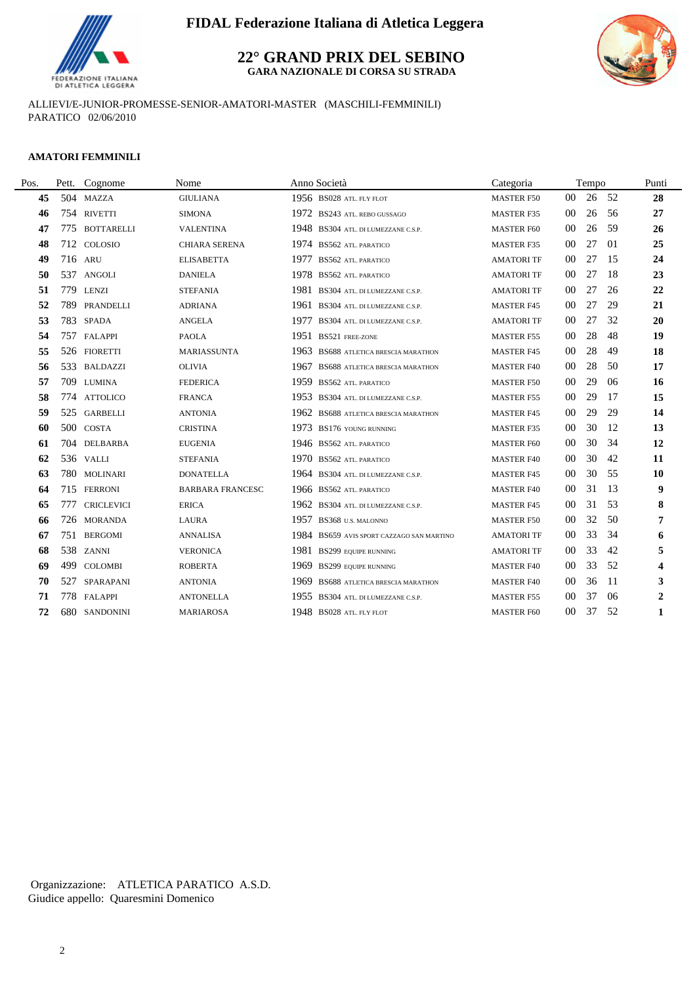

# **FIDAL Federazione Italiana di Atletica Leggera**

**22° GRAND PRIX DEL SEBINO GARA NAZIONALE DI CORSA SU STRADA**



ALLIEVI/E-JUNIOR-PROMESSE-SENIOR-AMATORI-MASTER (MASCHILI-FEMMINILI) PARATICO 02/06/2010

#### **AMATORI FEMMINILI**

| Pos. |     | Pett. Cognome     | Nome                    |      | Anno Società                         | Categoria         |                 | Tempo |          | Punti            |
|------|-----|-------------------|-------------------------|------|--------------------------------------|-------------------|-----------------|-------|----------|------------------|
| 45   |     | 504 MAZZA         | <b>GIULIANA</b>         |      | 1956 BS028 ATL. FLY FLOT             | <b>MASTER F50</b> | 00 <sup>1</sup> | 26    | 52       | 28               |
| 46   |     | 754 RIVETTI       | <b>SIMONA</b>           |      | 1972 BS243 ATL. REBO GUSSAGO         | <b>MASTER F35</b> | 00              | 26    | 56       | 27               |
| 47   |     | 775 BOTTARELLI    | <b>VALENTINA</b>        |      | 1948 BS304 ATL. DI LUMEZZANE C.S.P.  | <b>MASTER F60</b> | 00              | 26    | 59       | 26               |
| 48   |     | 712 COLOSIO       | <b>CHIARA SERENA</b>    |      | 1974 BS562 ATL. PARATICO             | <b>MASTER F35</b> | 00              | 27    | $\Omega$ | 25               |
| 49   |     | 716 ARU           | <b>ELISABETTA</b>       | 1977 | <b>BS562 ATL PARATICO</b>            | <b>AMATORI TF</b> | $00\,$          | 27    | 15       | 24               |
| 50   |     | 537 ANGOLI        | <b>DANIELA</b>          |      | 1978 BS562 ATL. PARATICO             | <b>AMATORI TF</b> | 00              | 27    | 18       | 23               |
| 51   |     | 779 LENZI         | <b>STEFANIA</b>         | 1981 | BS304 ATL. DI LUMEZZANE C.S.P.       | <b>AMATORI TF</b> | 00              | 27    | 26       | 22               |
| 52   | 789 | PRANDELLI         | <b>ADRIANA</b>          | 1961 | BS304 ATL. DI LUMEZZANE C.S.P.       | <b>MASTER F45</b> | 00              | 27    | 29       | 21               |
| 53   |     | 783 SPADA         | <b>ANGELA</b>           | 1977 | BS304 ATL. DI LUMEZZANE C.S.P.       | <b>AMATORI TF</b> | 00              | 27    | 32       | 20               |
| 54   |     | 757 FALAPPI       | <b>PAOLA</b>            | 1951 | <b>BS521 FREE-ZONE</b>               | <b>MASTER F55</b> | $00\,$          | 28    | 48       | 19               |
| 55   |     | 526 FIORETTI      | MARIASSUNTA             |      | 1963 BS688 ATLETICA BRESCIA MARATHON | <b>MASTER F45</b> | 00              | 28    | 49       | 18               |
| 56   |     | 533 BALDAZZI      | <b>OLIVIA</b>           | 1967 | BS688 ATLETICA BRESCIA MARATHON      | <b>MASTER F40</b> | $00\,$          | 28    | 50       | 17               |
| 57   |     | 709 LUMINA        | <b>FEDERICA</b>         |      | 1959 BS562 ATL. PARATICO             | <b>MASTER F50</b> | 00              | 29    | 06       | 16               |
| 58   |     | 774 ATTOLICO      | <b>FRANCA</b>           |      | 1953 BS304 ATL. DI LUMEZZANE C.S.P.  | <b>MASTER F55</b> | 00              | 29    | 17       | 15               |
| 59   |     | 525 GARBELLI      | <b>ANTONIA</b>          |      | 1962 BS688 ATLETICA BRESCIA MARATHON | <b>MASTER F45</b> | $00\,$          | 29    | 29       | 14               |
| 60   |     | 500 COSTA         | <b>CRISTINA</b>         |      | 1973 BS176 YOUNG RUNNING             | <b>MASTER F35</b> | $00\,$          | 30    | 12       | 13               |
| 61   |     | 704 DELBARBA      | <b>EUGENIA</b>          |      | 1946 BS562 ATL PARATICO              | <b>MASTER F60</b> | $00\,$          | 30    | 34       | 12               |
| 62   |     | 536 VALLI         | <b>STEFANIA</b>         |      | 1970 BS562 ATL PARATICO              | <b>MASTER F40</b> | $00\,$          | 30    | 42       | 11               |
| 63   |     | 780 MOLINARI      | <b>DONATELLA</b>        |      | 1964 BS304 ATL. DI LUMEZZANE C.S.P.  | <b>MASTER F45</b> | 00              | 30    | 55       | 10               |
| 64   |     | 715 FERRONI       | <b>BARBARA FRANCESC</b> |      | 1966 BS562 ATL PARATICO              | <b>MASTER F40</b> | $00\,$          | 31    | 13       | 9                |
| 65   | 777 | <b>CRICLEVICI</b> | <b>ERICA</b>            |      | 1962 BS304 ATL. DI LUMEZZANE C.S.P.  | <b>MASTER F45</b> | $00\,$          | 31    | .53      | 8                |
| 66   |     | 726 MORANDA       | <b>LAURA</b>            | 1957 | BS368 U.S. MALONNO                   | <b>MASTER F50</b> | $00\,$          | 32    | 50       | 7                |
| 67   |     | 751 BERGOMI       | <b>ANNALISA</b>         | 1984 | BS659 AVIS SPORT CAZZAGO SAN MARTINO | <b>AMATORI TF</b> | 00              | 33    | 34       | 6                |
| 68   |     | 538 ZANNI         | <b>VERONICA</b>         |      | 1981 BS299 EQUIPE RUNNING            | <b>AMATORI TF</b> | $00\,$          | 33    | 42       | 5                |
| 69   | 499 | <b>COLOMBI</b>    | <b>ROBERTA</b>          | 1969 | <b>BS299 EQUIPE RUNNING</b>          | <b>MASTER F40</b> | $00\,$          | 33    | 52       | 4                |
| 70   | 527 | SPARAPANI         | <b>ANTONIA</b>          |      | 1969 BS688 ATLETICA BRESCIA MARATHON | <b>MASTER F40</b> | $00\,$          | 36    | -11      | 3                |
| 71   |     | 778 FALAPPI       | <b>ANTONELLA</b>        |      | 1955 BS304 ATL. DI LUMEZZANE C.S.P.  | <b>MASTER F55</b> | 0 <sup>0</sup>  | 37    | 06       | $\boldsymbol{2}$ |
| 72   |     | 680 SANDONINI     | <b>MARIAROSA</b>        |      | 1948 BS028 ATL. FLY FLOT             | <b>MASTER F60</b> | $00\,$          | 37    | 52       | 1                |

Giudice appello: Quaresmini Domenico Organizzazione: ATLETICA PARATICO A.S.D.